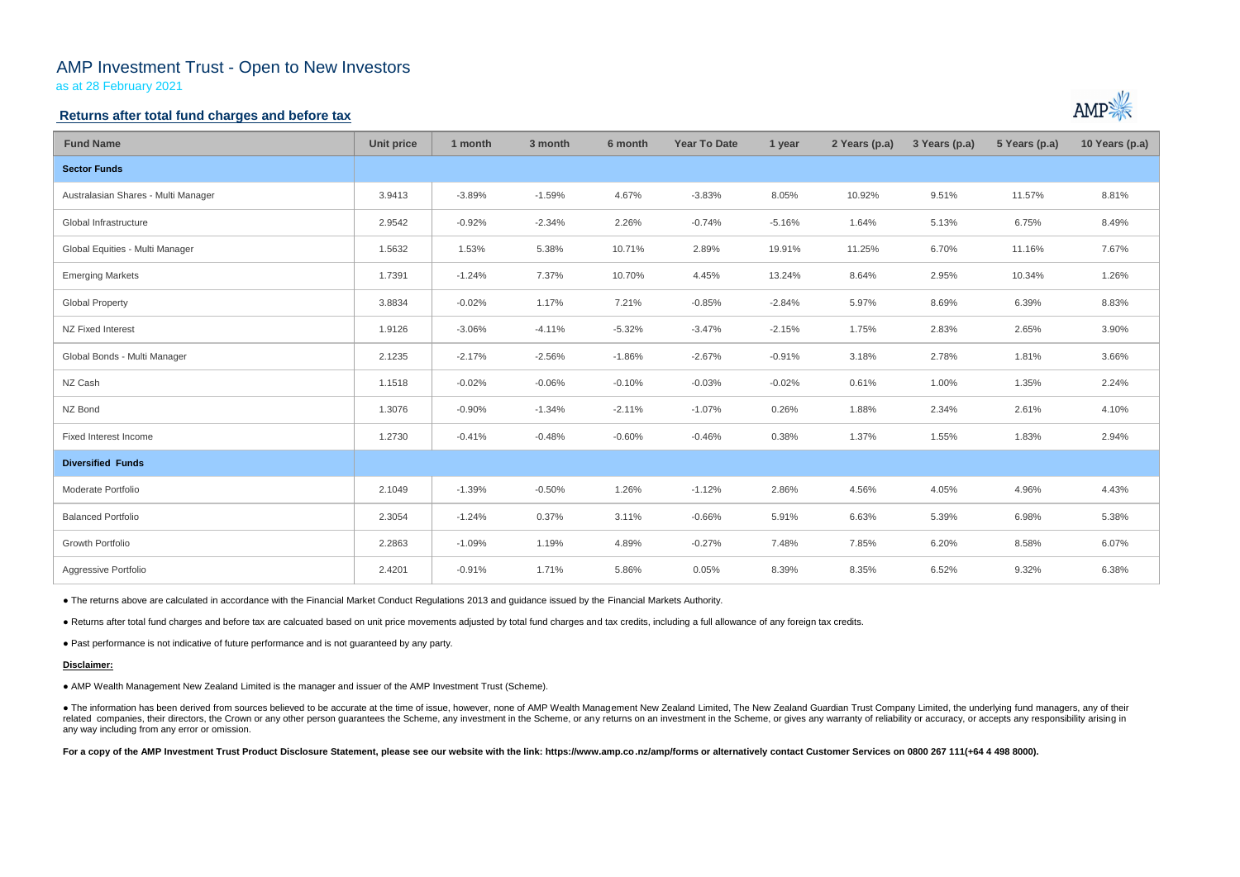# AMP Investment Trust - Open to New Investors

as at 28 February 2021

## **Returns after total fund charges and before tax**

| <b>Fund Name</b>                    | <b>Unit price</b> | 1 month  | 3 month  | 6 month  | <b>Year To Date</b> | 1 year   | 2 Years (p.a) | 3 Years (p.a) | 5 Years (p.a) | 10 Years (p.a) |
|-------------------------------------|-------------------|----------|----------|----------|---------------------|----------|---------------|---------------|---------------|----------------|
| <b>Sector Funds</b>                 |                   |          |          |          |                     |          |               |               |               |                |
| Australasian Shares - Multi Manager | 3.9413            | $-3.89%$ | $-1.59%$ | 4.67%    | $-3.83%$            | 8.05%    | 10.92%        | 9.51%         | 11.57%        | 8.81%          |
| Global Infrastructure               | 2.9542            | $-0.92%$ | $-2.34%$ | 2.26%    | $-0.74%$            | $-5.16%$ | 1.64%         | 5.13%         | 6.75%         | 8.49%          |
| Global Equities - Multi Manager     | 1.5632            | 1.53%    | 5.38%    | 10.71%   | 2.89%               | 19.91%   | 11.25%        | 6.70%         | 11.16%        | 7.67%          |
| <b>Emerging Markets</b>             | 1.7391            | $-1.24%$ | 7.37%    | 10.70%   | 4.45%               | 13.24%   | 8.64%         | 2.95%         | 10.34%        | 1.26%          |
| <b>Global Property</b>              | 3.8834            | $-0.02%$ | 1.17%    | 7.21%    | $-0.85%$            | $-2.84%$ | 5.97%         | 8.69%         | 6.39%         | 8.83%          |
| NZ Fixed Interest                   | 1.9126            | $-3.06%$ | $-4.11%$ | $-5.32%$ | $-3.47%$            | $-2.15%$ | 1.75%         | 2.83%         | 2.65%         | 3.90%          |
| Global Bonds - Multi Manager        | 2.1235            | $-2.17%$ | $-2.56%$ | $-1.86%$ | $-2.67%$            | $-0.91%$ | 3.18%         | 2.78%         | 1.81%         | 3.66%          |
| NZ Cash                             | 1.1518            | $-0.02%$ | $-0.06%$ | $-0.10%$ | $-0.03%$            | $-0.02%$ | 0.61%         | 1.00%         | 1.35%         | 2.24%          |
| NZ Bond                             | 1.3076            | $-0.90%$ | $-1.34%$ | $-2.11%$ | $-1.07%$            | 0.26%    | 1.88%         | 2.34%         | 2.61%         | 4.10%          |
| Fixed Interest Income               | 1.2730            | $-0.41%$ | $-0.48%$ | $-0.60%$ | $-0.46%$            | 0.38%    | 1.37%         | 1.55%         | 1.83%         | 2.94%          |
| <b>Diversified Funds</b>            |                   |          |          |          |                     |          |               |               |               |                |
| Moderate Portfolio                  | 2.1049            | $-1.39%$ | $-0.50%$ | 1.26%    | $-1.12%$            | 2.86%    | 4.56%         | 4.05%         | 4.96%         | 4.43%          |
| <b>Balanced Portfolio</b>           | 2.3054            | $-1.24%$ | 0.37%    | 3.11%    | $-0.66%$            | 5.91%    | 6.63%         | 5.39%         | 6.98%         | 5.38%          |
| Growth Portfolio                    | 2.2863            | $-1.09%$ | 1.19%    | 4.89%    | $-0.27%$            | 7.48%    | 7.85%         | 6.20%         | 8.58%         | 6.07%          |
| Aggressive Portfolio                | 2.4201            | $-0.91%$ | 1.71%    | 5.86%    | 0.05%               | 8.39%    | 8.35%         | 6.52%         | 9.32%         | 6.38%          |

• The information has been derived from sources believed to be accurate at the time of issue, however, none of AMP Wealth Management New Zealand Limited, The New Zealand Guardian Trust Company Limited, the underlying fund related companies, their directors, the Crown or any other person guarantees the Scheme, any investment in the Scheme, or any returns on an investment in the Scheme, or gives any warranty of reliability or accuracy, or acc any way including from any error or omission.

For a copy of the AMP Investment Trust Product Disclosure Statement, please see our website with the link: https://www.amp.co.nz/amp/forms or alternatively contact Customer Services on 0800 267 111(+64 4 498 8000).



● The returns above are calculated in accordance with the Financial Market Conduct Regulations 2013 and guidance issued by the Financial Markets Authority.

● Returns after total fund charges and before tax are calcuated based on unit price movements adjusted by total fund charges and tax credits, including a full allowance of any foreign tax credits.

● Past performance is not indicative of future performance and is not guaranteed by any party.

#### **Disclaimer:**

● AMP Wealth Management New Zealand Limited is the manager and issuer of the AMP Investment Trust (Scheme).